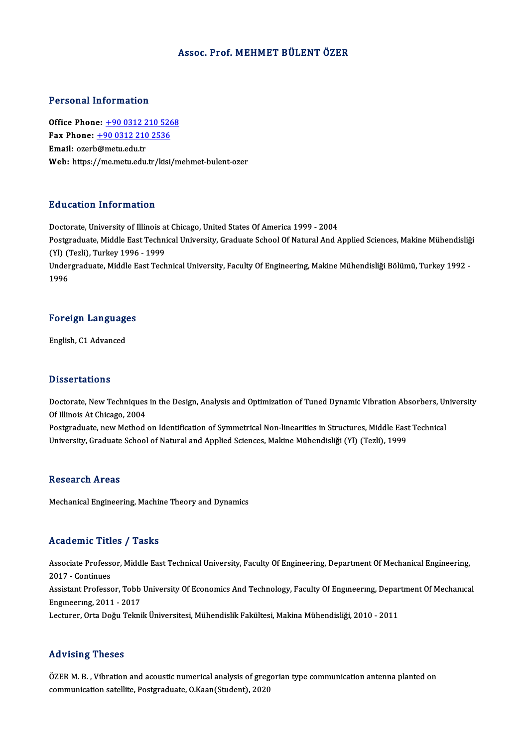### Assoc. Prof.MEHMET BÜLENTÖZER

#### Personal Information

Personal Information<br>Office Phone: <u>+90 0312 210 5268</u><br>Fax Phone: 190 0312 210 2526 Fax Phone: <u>+90 0312 210 526</u><br>Fax Phone: <u>+90 0312 210 526</u><br>Fmail: exerb@metu.edu.tr Office Phone: <u>+90 0312 2</u><br>Fax Phone: <u>+90 0312 210</u><br>Email: ozerb@metu.edu.tr Fax Phone: <u>+90 0312 210 2536</u><br>Email: ozerb@metu.edu.tr<br>Web: https:/[/me.metu.edu.tr/kis](tel:+90 0312 210 2536)[i/m](tel:+90 0312 210 5268)ehmet-bulent-ozer

#### Education Information

Education Information<br>Doctorate, University of Illinois at Chicago, United States Of America 1999 - 2004<br>Postsraduate Middle Fest Technical University, Craduate School Of Natural And A Pu u custon Timon inueron<br>Doctorate, University of Illinois at Chicago, United States Of America 1999 - 2004<br>Postgraduate, Middle East Technical University, Graduate School Of Natural And Applied Sciences, Makine Mühendisl Doctorate, University of Illinois a<br>Postgraduate, Middle East Techni<br>(Yl) (Tezli), Turkey 1996 - 1999<br>Undergraduate Middle Fest Tech Postgraduate, Middle East Technical University, Graduate School Of Natural And Applied Sciences, Makine Mühendisliğ<br>(Yl) (Tezli), Turkey 1996 - 1999<br>Undergraduate, Middle East Technical University, Faculty Of Engineering, (Yl) (Tezli), Turkey 1996 - 1999<br>Undergraduate, Middle East Technical University, Faculty Of Engineering, Makine Mühendisliği Bölümü, Turkey 1992 -<br>1996

# 1<sup>996</sup><br>Foreign Languages F<mark>oreign Languag</mark>e<br>English, C1 Advanced

English, C1 Advanced<br>Dissertations

Dissertations<br>Doctorate, New Techniques in the Design, Analysis and Optimization of Tuned Dynamic Vibration Absorbers, University<br>Of Illineis At Chicago, 2004 Disourcations<br>Doctorate, New Techniques<br>Of Illinois At Chicago, 2004<br>Postsraduate, new Method Doctorate, New Techniques in the Design, Analysis and Optimization of Tuned Dynamic Vibration Absorbers, Ur<br>Of Illinois At Chicago, 2004<br>Postgraduate, new Method on Identification of Symmetrical Non-linearities in Structur

Of Illinois At Chicago, 2004<br>Postgraduate, new Method on Identification of Symmetrical Non-linearities in Structures, Middle East Technical<br>University, Graduate School of Natural and Applied Sciences, Makine Mühendisliği (

#### **Research Areas**

Mechanical Engineering, Machine Theory and Dynamics

### Academic Titles / Tasks

Academic Titles / Tasks<br>Associate Professor, Middle East Technical University, Faculty Of Engineering, Department Of Mechanical Engineering,<br>2017 - Continues Associate Profess<br>2017 - Continues<br>Assistant Professe Associate Professor, Middle East Technical University, Faculty Of Engineering, Department Of Mechanical Engineering,<br>2017 - Continues<br>Assistant Professor, Tobb University Of Economics And Technology, Faculty Of Engineering 2017 - Continues<br>Assistant Professor, Tobb<br>Engineering, 2011 - 2017<br>Lecturer, Orta Değu Telmi Engıneering, 2011 - 2017<br>Lecturer, Orta Doğu Teknik Üniversitesi, Mühendislik Fakültesi, Makina Mühendisliği, 2010 - 2011

#### Advising Theses

ÖZER M. B., Vibration and acoustic numerical analysis of gregorian type communication antenna planted on communication satellite, Postgraduate, O.Kaan(Student), 2020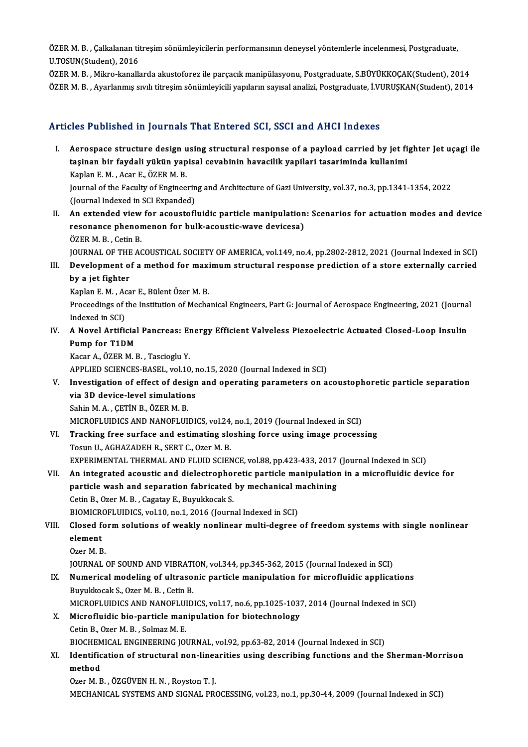ÖZER M. B. , Çalkalanan titreşim sönümleyicilerin performansının deneysel yöntemlerle incelenmesi, Postgraduate,<br>U.TOSUN(Student), 2016 ÖZER M. B. , Çalkalanan tit<br>U.TOSUN(Student), 2016<br>ÖZEP M. B. - Milwe kanallı ÖZER M. B. , Çalkalanan titreşim sönümleyicilerin performansının deneysel yöntemlerle incelenmesi, Postgraduate,<br>U.TOSUN(Student), 2016<br>ÖZER M. B. , Mikro-kanallarda akustoforez ile parçacık manipülasyonu, Postgraduate, S.

U.TOSUN(Student), 2016<br>ÖZER M. B. , Mikro-kanallarda akustoforez ile parçacık manipülasyonu, Postgraduate, S.BÜYÜKKOÇAK(Student), 2014<br>ÖZER M. B. , Ayarlanmış sıvılı titreşim sönümleyicili yapıların sayısal analizi, Postgr

### Articles Published in Journals That Entered SCI, SSCI and AHCI Indexes

- I. Aerospace structure design using structural response of a payload carried by jet fighter Jet uçagi ile<br>I. Aerospace structure design using structural response of a payload carried by jet fighter Jet uçagi ile<br>I. tasinan tasi i dististica in journalis That Enter od Self, Seer and Thref Indence<br>Aerospace structure design using structural response of a payload carried by jet fi<br>taşinan bir faydali yükün yapisal cevabinin havacilik yapilari t Aerospace structure design u<br>taşinan bir faydali yükün yap<br>Kaplan E. M. , Acar E., ÖZER M. B.<br>Journal of the Foculty of Enginee taşinan bir faydali yükün yapisal cevabinin havacilik yapilari tasariminda kullanimi<br>Kaplan E. M. , Acar E., ÖZER M. B.<br>Journal of the Faculty of Engineering and Architecture of Gazi University, vol.37, no.3, pp.1341-1354, Kaplan E. M. , Acar E., ÖZER M. B.<br>Journal of the Faculty of Engineerin<br>(Journal Indexed in SCI Expanded)<br>An extended wiew for esquatefl I . Journal of the Faculty of Engineering and Architecture of Gazi University, vol.37, no.3, pp.1341-1354, 2022<br>(Journal Indexed in SCI Expanded)<br>II. An extended view for acoustofluidic particle manipulation: Scenarios for
- (Journal Indexed in SCI Expanded)<br>An extended view for acoustofluidic particle manipulation<br>resonance phenomenon for bulk-acoustic-wave devicesa)<br>ÖZEP M. B., Cetin B. An extended view<br>resonance phenor<br>ÖZER M. B. , Cetin B.<br>JOUPMAL OF THE AC ÖZER M. B. , Cetin B.<br>JOURNAL OF THE ACOUSTICAL SOCIETY OF AMERICA, vol.149, no.4, pp.2802-2812, 2021 (Journal Indexed in SCI) ÖZER M. B. , Cetin B.<br>JOURNAL OF THE ACOUSTICAL SOCIETY OF AMERICA, vol.149, no.4, pp.2802-2812, 2021 (Journal Indexed in SCI)<br>III. Development of a method for maximum structural response prediction of a store external

**JOURNAL OF THE**<br>Development o<br>by a jet fighter<br>Kanlan E.M. Acc Development of a method for maxi<br>by a jet fighter<br>Kaplan E. M. , Acar E., Bülent Özer M. B.<br>Proceedings of the Institution of Mesho

Kaplan E. M., Acar E., Bülent Özer M. B.

by a jet fighter<br>Kaplan E. M. , Acar E., Bülent Özer M. B.<br>Proceedings of the Institution of Mechanical Engineers, Part G: Journal of Aerospace Engineering, 2021 (Journal<br>Indexed in SCI) Proceedings of the Institution of Mechanical Engineers, Part G: Journal of Aerospace Engineering, 2021 (Journa<br>Indexed in SCI)<br>IV. A Novel Artificial Pancreas: Energy Efficient Valveless Piezoelectric Actuated Closed-Loop

Indexed in SCI)<br>A Novel Artificial<br>Pump for T1DM<br>Kasar A ÖZEP M L A Novel Artificial Pancreas: El<br>Pump for T1DM<br>Kacar A., ÖZER M. B., Tascioglu Y.<br>APPLIED SCIENCES PASEL, vol.10 Pump for T1DM<br>Kacar A., ÖZER M. B. , Tascioglu Y.<br>APPLIED SCIENCES-BASEL, vol.10, no.15, 2020 (Journal Indexed in SCI)<br>Investigation of offect of design and onegating narameters on a

- Kacar A., ÖZER M. B. , Tascioglu Y.<br>APPLIED SCIENCES-BASEL, vol.10, no.15, 2020 (Journal Indexed in SCI)<br>V. Investigation of effect of design and operating parameters on acoustophoretic particle separation<br>via 2D davise APPLIED SCIENCES-BASEL, vol.10, r<br>Investigation of effect of design<br>via 3D device-level simulations<br>Sebin M A CETIN P ÖZER M P Investigation of effect of desi<br>via 3D device-level simulatior<br>Sahin M.A., ÇETİN B., ÖZER M. B.<br>MICPOELUIDICS AND NANOELUI via 3D device-level simulations<br>Sahin M. A. , ÇETİN B., ÖZER M. B.<br>MICROFLUIDICS AND NANOFLUIDICS, vol.24, no.1, 2019 (Journal Indexed in SCI)<br>Trasking free surfase and estimating slashing forse using image process
- Sahin M. A., ÇETİN B., ÖZER M. B.<br>MICROFLUIDICS AND NANOFLUIDICS, vol.24, no.1, 2019 (Journal Indexed in SCI)<br>VI. Tracking free surface and estimating sloshing force using image processing<br>Tosun U., AGHAZADEH R., SERT C., MICROFLUIDICS AND NANOFLUIDICS, vol.24,<br>Tracking free surface and estimating slo<br>Tosun U., AGHAZADEH R., SERT C., Ozer M. B.<br>EXPERIMENTAL THERMAL AND ELUID SCIEN Tracking free surface and estimating sloshing force using image processing<br>Tosun U., AGHAZADEH R., SERT C., Ozer M. B.<br>EXPERIMENTAL THERMAL AND FLUID SCIENCE, vol.88, pp.423-433, 2017 (Journal Indexed in SCI)<br>An integrated
- VII. An integrated acoustic and dielectrophoretic particle manipulation in a microfluidic device for EXPERIMENTAL THERMAL AND FLUID SCIENCE, vol.88, pp.423-433, 2017<br>An integrated acoustic and dielectrophoretic particle manipulation<br>particle wash and separation fabricated by mechanical machining An integrated acoustic and dielectrophor<br>particle wash and separation fabricated<br>Cetin B., Ozer M. B. , Cagatay E., Buyukkocak S.<br>PIOMICPOELUIDICS vol 10, po 1, 2016 (Journ particle wash and separation fabricated by mechanical m<br>Cetin B., Ozer M. B. , Cagatay E., Buyukkocak S.<br>BIOMICROFLUIDICS, vol.10, no.1, 2016 (Journal Indexed in SCI)<br>Closed form solutions of weakly poplinear multi degree.

## Cetin B., Ozer M. B. , Cagatay E., Buyukkocak S.<br>BIOMICROFLUIDICS, vol.10, no.1, 2016 (Journal Indexed in SCI)<br>VIII. Closed form solutions of weakly nonlinear multi-degree of freedom systems with single nonlinear<br>cloment BIOMICROFLUIDICS, vol.10, no.1, 2016 (Journal Indexed in SCI)<br>Closed form solutions of weakly nonlinear multi-degree<br>element<br>Ozer M. B. Closed fo<br>element<br>Ozer M. B.<br>JOUPMAL

JOURNAL OF SOUND AND VIBRATION, vol.344, pp.345-362, 2015 (Journal Indexed in SCI)

- Ozer M. B.<br>JOURNAL OF SOUND AND VIBRATION, vol.344, pp.345-362, 2015 (Journal Indexed in SCI)<br>IX. Numerical modeling of ultrasonic particle manipulation for microfluidic applications<br>Purplicage S. Ozer M. B. Cetin B. JOURNAL OF SOUND AND VIBRATI<br><mark>Numerical modeling of ultraso</mark><br>Buyukkocak S., Ozer M. B. , Cetin B.<br>MICROELUIDICS AND NANOELUID Numerical modeling of ultrasonic particle manipulation for microfluidic applications<br>Buyukkocak S., Ozer M. B. , Cetin B.<br>MICROFLUIDICS AND NANOFLUIDICS, vol.17, no.6, pp.1025-1037, 2014 (Journal Indexed in SCI)<br>Microfluid
- Buyukkocak S., Ozer M. B., Cetin B.<br>MICROFLUIDICS AND NANOFLUIDICS, vol.17, no.6, pp.1025-103.<br>X. Microfluidic bio-particle manipulation for biotechnology<br>Cetin B., Ozer M. B., Solmaz M. E. MICROFLUIDICS AND NANOFLUI<br>Microfluidic bio-particle man<br>Cetin B., Ozer M. B. , Solmaz M. E.<br>PIOCHEMICAL ENCINEEPINC IOI Microfluidic bio-particle manipulation for biotechnology<br>Cetin B., Ozer M. B. , Solmaz M. E.<br>BIOCHEMICAL ENGINEERING JOURNAL, vol.92, pp.63-82, 2014 (Journal Indexed in SCI)<br>Identification of structurel non-linearities usi

## Cetin B., Ozer M. B. , Solmaz M. E.<br>BIOCHEMICAL ENGINEERING JOURNAL, vol.92, pp.63-82, 2014 (Journal Indexed in SCI)<br>XI. Identification of structural non-linearities using describing functions and the Sherman-Morrison<br>moth BIOCHEM<br>Identific<br>method<br>Ozer M. E **Identification of structural non-lines<br>method<br>Ozer M. B. , ÖZGÜVEN H. N. , Royston T. J.<br>MECHANICAL SYSTEMS AND SICNAL PR**

method<br>Ozer M. B. , ÖZGÜVEN H. N. , Royston T. J.<br>MECHANICAL SYSTEMS AND SIGNAL PROCESSING, vol.23, no.1, pp.30-44, 2009 (Journal Indexed in SCI)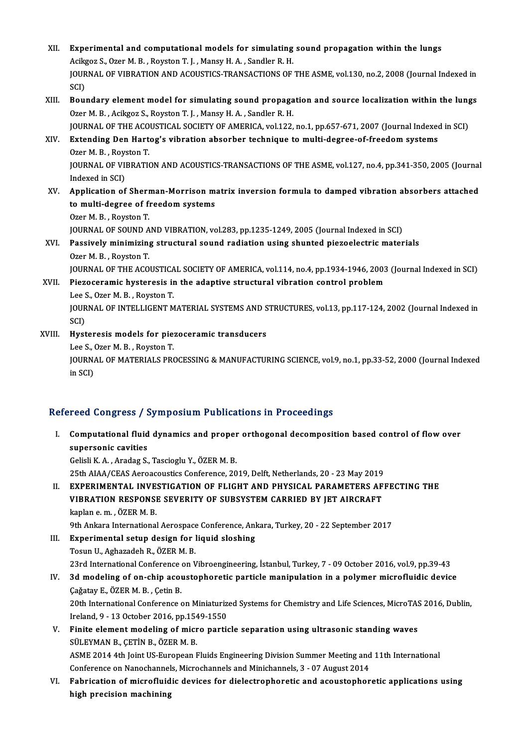XII. Experimental and computational models for simulating sound propagation within the lungs<br>Acilgog S. Oran M. B. Boyston T. L. Mangy H.A. Sandlar B. H. Experimental and computational models for simulating<br>Acikgoz S., Ozer M. B. , Royston T. J. , Mansy H. A. , Sandler R. H.<br>JOUPMAL OF VIPPATION AND ACQUETICS TRANSACTIONS OF Experimental and computational models for simulating sound propagation within the lungs<br>Acikgoz S., Ozer M. B. , Royston T. J. , Mansy H. A. , Sandler R. H.<br>JOURNAL OF VIBRATION AND ACOUSTICS-TRANSACTIONS OF THE ASME, vol. Acikg<br>JOUR<br>SCI)<br>Bou JOURNAL OF VIBRATION AND ACOUSTICS-TRANSACTIONS OF THE ASME, vol.130, no.2, 2008 (Journal Indexed in<br>SCI)<br>XIII. Boundary element model for simulating sound propagation and source localization within the lungs<br>Ozor M. B. Ag SCI)<br>Boundary element model for simulating sound propaga<br>Ozer M. B. , Acikgoz S., Royston T. J. , Mansy H. A. , Sandler R. H.<br>JOUPMAL OF THE ACOUSTICAL SOCIETY OF AMERICA vol 122 Boundary element model for simulating sound propagation and source localization within the lung<br>Ozer M. B. , Acikgoz S., Royston T. J. , Mansy H. A. , Sandler R. H.<br>JOURNAL OF THE ACOUSTICAL SOCIETY OF AMERICA, vol.122, no Ozer M. B. , Acikgoz S., Royston T. J. , Mansy H. A. , Sandler R. H.<br>JOURNAL OF THE ACOUSTICAL SOCIETY OF AMERICA, vol.122, no.1, pp.657-671, 2007 (Journal Indexed<br>XIV. Extending Den Hartog's vibration absorber technique t JOURNAL OF THE ACOUSTICAL SOCIETY OF AMERICA, vol.122, no.1, pp.657-671, 2007 (Journal Indexed in SCI) Extending Den Hartog's vibration absorber technique to multi-degree-of-freedom systems<br>Ozer M. B. , Royston T.<br>JOURNAL OF VIBRATION AND ACOUSTICS-TRANSACTIONS OF THE ASME, vol.127, no.4, pp.341-350, 2005 (Journal<br>Indeved i Ozer M. B. , Roys<br>JOURNAL OF VII<br>Indexed in SCI)<br>Annligation of JOURNAL OF VIBRATION AND ACOUSTICS-TRANSACTIONS OF THE ASME, vol.127, no.4, pp.341-350, 2005 (Journal<br>Indexed in SCI)<br>XV. Application of Sherman-Morrison matrix inversion formula to damped vibration absorbers attached<br>to m Indexed in SCI)<br>XV. Application of Sherman-Morrison matrix inversion formula to damped vibration absorbers attached<br>to multi-degree of freedom systems Ozer M.B., Royston T. to multi-degree of freedom systems<br>Ozer M. B. , Royston T.<br>JOURNAL OF SOUND AND VIBRATION, vol.283, pp.1235-1249, 2005 (Journal Indexed in SCI)<br>Pessively minimizing structural sound rediction using shunted nisgoelestris ma XVI. Passively minimizing structural sound radiation using shunted piezoelectric materials<br>Ozer M. B., Royston T. **JOURNAL OF SOUND A<br>Passively minimizin<br>Ozer M. B. , Royston T.<br>JOUPNAL OF THE ACO** Passively minimizing structural sound radiation using shunted piezoelectric materials<br>Ozer M. B. , Royston T.<br>JOURNAL OF THE ACOUSTICAL SOCIETY OF AMERICA, vol.114, no.4, pp.1934-1946, 2003 (Journal Indexed in SCI)<br>Pieroso XVII. Piezoceramic hysteresis in the adaptive structural vibration control problem **JOURNAL OF THE ACOUSTICA<br>Piezoceramic hysteresis in<br>Lee S., Ozer M. B. , Royston T.<br>JOUPNAL OF INTELLICENT M** JOURNAL OF INTELLIGENT MATERIAL SYSTEMS AND STRUCTURES, vol.13, pp.117-124, 2002 (Journal Indexed in<br>SCI) Lee S., Ozer M. B., Royston T. JOURNAL OF INTELLIGENT MATERIAL SYSTEMS AND S<br>SCI)<br>XVIII. Hysteresis models for piezoceramic transducers SCI)<br>Hysteresis models for pie:<br>Lee S., Ozer M. B. , Royston T.<br>JOUPNAL OF MATERIALS PR JOURNAL OF MATERIALS PROCESSING & MANUFACTURING SCIENCE, vol.9, no.1, pp.33-52, 2000 (Journal Indexed in SCI) Lee S., Ozer M. B., Royston T.

### Refereed Congress / Symposium Publications in Proceedings

efereed Congress / Symposium Publications in Proceedings<br>I. Computational fluid dynamics and proper orthogonal decomposition based control of flow over<br>supersonic covition supersonic cavities<br>Supersonic cavities<br>Coliali V.A. Anadag S Computational fluid dynamics and proper<br>supersonic cavities<br>Gelisli K.A., Aradag S., Tascioglu Y., ÖZER M. B.<br>25th AIAA/CEAS Aspeaseustiss Conference 20 supersonic cavities<br>Gelisli K. A. , Aradag S., Tascioglu Y., ÖZER M. B.<br>25th AIAA/CEAS Aeroacoustics Conference, 2019, Delft, Netherlands, 20 - 23 May 2019

II. EXPERIMENTAL INVESTIGATION OF FLIGHT AND PHYSICAL PARAMETERS AFFECTING THE 25th AIAA/CEAS Aeroacoustics Conference, 2019, Delft, Netherlands, 20 - 23 May 2019<br>EXPERIMENTAL INVESTIGATION OF FLIGHT AND PHYSICAL PARAMETERS AF<br>VIBRATION RESPONSE SEVERITY OF SUBSYSTEM CARRIED BY JET AIRCRAFT<br>kaplan e. EXPERIMENTAL INVE.<br>VIBRATION RESPONSI<br>kaplan e. m. , ÖZER M. B.<br>9th Ankara International VIBRATION RESPONSE SEVERITY OF SUBSYSTEM CARRIED BY JET AIRCRAFT<br>kaplan e. m. , ÖZER M. B.<br>9th Ankara International Aerospace Conference, Ankara, Turkey, 20 - 22 September 2017<br>Experimental setup design for liquid sleshing

kaplan e. m. , ÖZER M. B.<br>9th Ankara International Aerospace Conference, Anl<br>III. Experimental setup design for liquid sloshing<br>Tesup U. Asharadah B. ÖZER M. B. 9th Ankara International Aerospace<br>Experimental setup design for 1<br>Tosun U., Aghazadeh R., ÖZER M. B.<br>22rd International Conference on L Tosun U., Aghazadeh R., ÖZER M. B.<br>23rd International Conference on Vibroengineering, İstanbul, Turkey, 7 - 09 October 2016, vol.9, pp.39-43 Tosun U., Aghazadeh R., ÖZER M. B.<br>23rd International Conference on Vibroengineering, İstanbul, Turkey, 7 - 09 October 2016, vol.9, pp.39-43<br>IV. 3d modeling of on-chip acoustophoretic particle manipulation in a polymer mic

- 23rd International Conference<br>3d modeling of on-chip acoustic Cagatay E., ÖZER M. B., Cetin B. 3d modeling of on-chip acoustophoretic particle manipulation in a polymer microfluidic device<br>Cağatay E., ÖZER M. B. , Çetin B.<br>20th International Conference on Miniaturized Systems for Chemistry and Life Sciences, MicroTA Cağatay E., ÖZER M. B. , Çetin B.<br>20th International Conference on Miniaturiz<br>Ireland, 9 - 13 October 2016, pp.1549-1550<br>Finite element modeling of misse pertis 20th International Conference on Miniaturized Systems for Chemistry and Life Sciences, MicroTAS<br>Ireland, 9 - 13 October 2016, pp.1549-1550<br>V. Finite element modeling of micro particle separation using ultrasonic standing w
- Ireland, 9 13 October 2016, pp.1549-1550<br>V. Finite element modeling of micro particle separation using ultrasonic standing waves<br>SÜLEYMAN B., CETİN B., ÖZER M. B. ASME 2014 4th Joint US-European Fluids Engineering Division Summer Meeting and 11th International SÜLEYMAN B., ÇETİN B., ÖZER M. B.<br>ASME 2014 4th Joint US-European Fluids Engineering Division Summer Meeting and<br>Conference on Nanochannels, Microchannels and Minichannels, 3 - 07 August 2014<br>Eshnisation of minnefluidie de
- VI. Fabrication of microfluidic devices for dielectrophoretic and acoustophoretic applications using<br>high precision machining Conference on Nanochannel<br>Fabrication of microfluid<br>high precision machining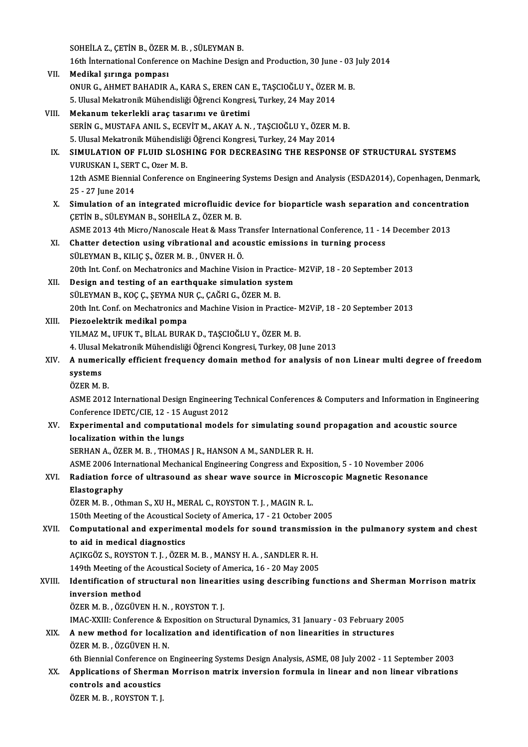SOHEİLAZ., ÇETİN B., ÖZERM.B., SÜLEYMANB.

16th İnternationalConference onMachineDesignandProduction,30 June -03 July2014

- VII. Medikal şırınga pompası 16th İnternational Conference on Machine Design and Production, 30 June - 03<br>Medikal şırınga pompası<br>ONUR G., AHMET BAHADIR A., KARA S., EREN CAN E., TAŞCIOĞLU Y., ÖZER M. B.<br>E. Ulusel Mekatronik Mühandisliği Öğrensi Kongr Medikal şırınga pompası<br>ONUR G., AHMET BAHADIR A., KARA S., EREN CAN E., TAŞCIOĞLU Y., ÖZER<br>5. Ulusal Mekatronik Mühendisliği Öğrenci Kongresi, Turkey, 24 May 2014<br>Mekanum tekarlekli aras taşarımı ve üretimi 5. Ulusal Mekatronik Mühendisliği Öğrenci Kongresi, Turkey, 24 May 2014<br>VIII. Mekanum tekerlekli araç tasarımı ve üretimi
- 5. Ulusal Mekatronik Mühendisliği Öğrenci Kongresi, Turkey, 24 May 2014<br>Mekanum tekerlekli araç tasarımı ve üretimi<br>SERİN G., MUSTAFA ANIL S., ECEVİT M., AKAY A. N. , TAŞCIOĞLU Y., ÖZER M. B.<br>5. Ulusal Makatronik Mühandisl Mekanum tekerlekli araç tasarımı ve üretimi<br>SERİN G., MUSTAFA ANIL S., ECEVİT M., AKAY A. N. , TAŞCIOĞLU Y., ÖZER M<br>5. Ulusal Mekatronik Mühendisliği Öğrenci Kongresi, Turkey, 24 May 2014<br>SIMIIL ATION OF ELIUD SLOSHING FOR SERİN G., MUSTAFA ANIL S., ECEVİT M., AKAY A. N. , TAŞCIOĞLU Y., ÖZER M. B.<br>5. Ulusal Mekatronik Mühendisliği Öğrenci Kongresi, Turkey, 24 May 2014<br>IX. SIMULATION OF FLUID SLOSHING FOR DECREASING THE RESPONSE OF STRUCTURAL
- 5. Ulusal Mekatronik Mühendisliğ<br>SIMULATION OF FLUID SLOSI<br>VURUSKAN I., SERT C., Ozer M. B.<br>12th ASME Bionnial Conference c SIMULATION OF FLUID SLOSHING FOR DECREASING THE RESPONSE OF STRUCTURAL SYSTEMS<br>VURUSKAN I., SERT C., Ozer M. B.<br>12th ASME Biennial Conference on Engineering Systems Design and Analysis (ESDA2014), Copenhagen, Denmark,<br>25 -VURUSKAN I., SERT<br>12th ASME Biennia<br>25 - 27 June 2014<br>Simulation of an 12th ASME Biennial Conference on Engineering Systems Design and Analysis (ESDA2014), Copenhagen, Denmar<br>25 - 27 June 2014<br>X. Simulation of an integrated microfluidic device for bioparticle wash separation and concentration
- 25 27 June 2014<br>Simulation of an integrated microfluidic de<br>ÇETİN B., SÜLEYMAN B., SOHEİLA Z., ÖZER M. B.<br>ASME 2012 4th Migre (Nanassala Haat & Mass T Simulation of an integrated microfluidic device for bioparticle wash separation and concentra<br>ÇETİN B., SÜLEYMAN B., SOHEİLA Z., ÖZER M. B.<br>ASME 2013 4th Micro/Nanoscale Heat & Mass Transfer International Conference, 11 - ASME 2013 4th Micro/Nanoscale Heat & Mass Transfer International Conference, 11 - 14 December 2013
- CETIN B., SÜLEYMAN B., SOHEILA Z., ÖZER M. B.<br>ASME 2013 4th Micro/Nanoscale Heat & Mass Transfer International Conference, 11 1.<br>XI. Chatter detection using vibrational and acoustic emissions in turning process<br>SÜLEYMAN 20th Int. Conf. on Mechatronics and Machine Vision in Practice-M2ViP, 18 - 20 September 2013 SÜLEYMAN B., KILIÇ Ş., ÖZER M. B., ÜNVER H. Ö.<br>20th Int. Conf. on Mechatronics and Machine Vision in Practice-<br>XII. Design and testing of an earthquake simulation system<br>5 SULEYMAN B. KOGG SEYMA NUR G. GAĞPLG ÖZER M. B
- 20th Int. Conf. on Mechatronics and Machine Vision in Prac<br>Design and testing of an earthquake simulation syst<br>SÜLEYMAN B., KOÇ Ç., ŞEYMA NUR Ç., ÇAĞRI G., ÖZER M. B.<br>20th Int. Conf. on Mechatronics and Machine Vision in P 20th Int. Conf. on Mechatronics and Machine Vision in Practice-M2ViP, 18 - 20 September 2013<br>Piezoelektrik medikal pompa SÜLEYMAN B., KOÇ Ç., ŞEYMA NUR Ç., ÇAĞRI G., ÖZER M. B.<br>20th Int. Conf. on Mechatronics and Machine Vision in Prac<br>XIII. Piezoelektrik medikal pompa
- YILMAZ M., UFUK T., BİLAL BURAK D., TAŞCIOĞLU Y., ÖZER M. B. Piezoelektrik medikal pompa<br>YILMAZ M., UFUK T., BİLAL BURAK D., TAŞCIOĞLU Y., ÖZER M. B.<br>4. Ulusal Mekatronik Mühendisliği Öğrenci Kongresi, Turkey, 08 June 2013<br>A. numerisally efficiant fraquency demain mathod for analysi
- YILMAZ M., UFUK T., BİLAL BURAK D., TAŞCIOĞLU Y., ÖZER M. B.<br>4. Ulusal Mekatronik Mühendisliği Öğrenci Kongresi, Turkey, 08 June 2013<br>XIV. A numerically efficient frequency domain method for analysis of non Linear mult 4. Ulusal <mark>1</mark><br>A numer<br>systems<br>özep M 1 A numeric<br>systems<br>ÖZER M. B.<br>ASME 2012 systems<br>ÖZER M. B.<br>ASME 2012 International Design Engineering Technical Conferences & Computers and Information in Engineering
	-

ÖZER M. B.<br>ASME 2012 International Design Engineering<br>Conference IDETC/CIE, 12 - 15 August 2012<br>Eunorimental and computational models

XV. Experimental and computational models for simulating sound propagation and acoustic source<br>localization within the lungs Conference IDETC/CIE, 12 - 15 A<br>Experimental and computation<br>localization within the lungs localization within the lungs<br>SERHAN A., ÖZER M. B. , THOMAS J R., HANSON A M., SANDLER R. H.<br>ASME 2006 International Mechanical Engineering Congress and Exposition, 5 - 10 November 2006<br>Podiation forse of ultrasound as sh

SERHAN A., ÖZER M. B., THOMAS JR., HANSON AM., SANDLERR.H.

### SERHAN A., ÖZER M. B. , THOMAS J R., HANSON A M., SANDLER R. H.<br>ASME 2006 International Mechanical Engineering Congress and Exposition, 5 - 10 November 2006<br>XVI. Radiation force of ultrasound as shear wave source in Micros ASME 2006 Inte<br>Radiation fore<br>Elastography<br>ÖZER M. B. Oth Radiation force of ultrasound as shear wave source in Micro<br>Elastography<br>ÖZER M. B. , Othman S., XU H., MERAL C., ROYSTON T. J. , MAGIN R. L.<br>150th Meeting of the Aseustical Seciety of America 17, 21 October Elastography<br>ÖZER M. B. , Othman S., XU H., MERAL C., ROYSTON T. J. , MAGIN R. L.<br>150th Meeting of the Acoustical Society of America, 17 - 21 October 2005

## ÖZER M. B. , Othman S., XU H., MERAL C., ROYSTON T. J. , MAGIN R. L.<br>150th Meeting of the Acoustical Society of America, 17 - 21 October 2005<br>XVII. Computational and experimental models for sound transmission in the pulman 150th Meeting of the Acoustical 9<br>**Computational and experime**<br>to aid in medical diagnostics<br>ACIVCÖZ S. POVSTON T.L. ÖZER Computational and experimental models for sound transmiss<br>to aid in medical diagnostics<br>AÇIKGÖZ S., ROYSTON T. J. , ÖZER M. B. , MANSY H. A. , SANDLER R. H.<br>149th Meeting of the Asoustical Society of America 16 – 20 May 20

to aid in medical diagnostics<br>AÇIKGÖZ S., ROYSTON T. J. , ÖZER M. B. , MANSY H. A. , SANDLER R. H.<br>149th Meeting of the Acoustical Society of America, 16 - 20 May 2005<br>Identification of structural non linearities using des

## AÇIKGÖZ S., ROYSTON T. J. , ÖZER M. B. , MANSY H. A. , SANDLER R. H.<br>149th Meeting of the Acoustical Society of America, 16 - 20 May 2005<br>XVIII. Identification of structural non linearities using describing functions and S 149th Meeting of the<br>Identification of st<br>inversion method<br>ÖZEP M P – ÖZCÜVE inversion method<br>ÖZER M. B. , ÖZGÜVEN H. N. , ROYSTON T. J.<br>IMAC-XXIII: Conference & Exposition on Structural Dynamics, 31 January - 03 February 2005<br>A new method for localization and identification of nen linearities in s

ÖZER M. B., ÖZGÜVEN H. N., ROYSTON T. J.

## ÖZER M. B., ÖZGÜVEN H. N., ROYSTON T. J.<br>IMAC-XXIII: Conference & Exposition on Structural Dynamics, 31 January - 03 February 200<br>XIX. A new method for localization and identification of non linearities in structures<br>ÖZER XIX. A new method for localization and identification of non linearities in structures ÖZERM.B., ÖZGÜVEN H.N. A new method for localization and identification of non linearities in structures<br>ÖZER M. B., ÖZGÜVEN H. N.<br>6th Biennial Conference on Engineering Systems Design Analysis, ASME, 08 July 2002 - 11 September 2003<br>Analisation

ÖZER M. B. , ÖZGÜVEN H. N.<br>6th Biennial Conference on Engineering Systems Design Analysis, ASME, 08 July 2002 - 11 September 2003<br>XX. Applications of Sherman Morrison matrix inversion formula in linear and non linear v 6th Biennial Conference of<br>Applications of Sherma<br>controls and acoustics<br>ÖZEP M B - BOVSTON T L XX. Applications of Sherman Morrison matrix inversion formula in linear and non linear vibrations controls and acoustics<br>ÖZERM.B., ROYSTON T.J.